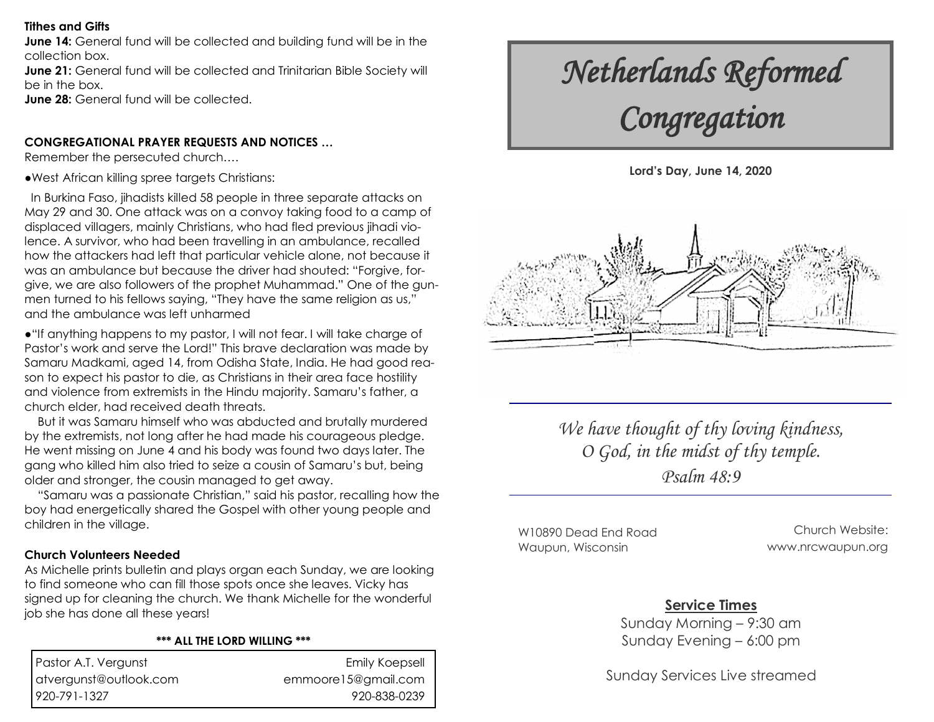#### **Tithes and Gifts**

**June 14:** General fund will be collected and building fund will be in the collection box.

**June 21:** General fund will be collected and Trinitarian Bible Society will be in the box.

**June 28:** General fund will be collected.

## **CONGREGATIONAL PRAYER REQUESTS AND NOTICES …**

Remember the persecuted church….

**●**West African killing spree targets Christians:

 In Burkina Faso, jihadists killed 58 people in three separate attacks on May 29 and 30. One attack was on a convoy taking food to a camp of displaced villagers, mainly Christians, who had fled previous jihadi violence. A survivor, who had been travelling in an ambulance, recalled how the attackers had left that particular vehicle alone, not because it was an ambulance but because the driver had shouted: "Forgive, forgive, we are also followers of the prophet Muhammad." One of the gunmen turned to his fellows saying, "They have the same religion as us," and the ambulance was left unharmed

●"If anything happens to my pastor, I will not fear. I will take charge of Pastor's work and serve the Lord!" This brave declaration was made by Samaru Madkami, aged 14, from Odisha State, India. He had good reason to expect his pastor to die, as Christians in their area face hostility and violence from extremists in the Hindu majority. Samaru's father, a church elder, had received death threats.

 But it was Samaru himself who was abducted and brutally murdered by the extremists, not long after he had made his courageous pledge. He went missing on June 4 and his body was found two days later. The gang who killed him also tried to seize a cousin of Samaru's but, being older and stronger, the cousin managed to get away.

 "Samaru was a passionate Christian," said his pastor, recalling how the boy had energetically shared the Gospel with other young people and children in the village.

## **Church Volunteers Needed**

As Michelle prints bulletin and plays organ each Sunday, we are looking to find someone who can fill those spots once she leaves. Vicky has signed up for cleaning the church. We thank Michelle for the wonderful job she has done all these years!

#### **\*\*\* ALL THE LORD WILLING \*\*\***

| Pastor A.T. Vergunst   |
|------------------------|
| atvergunst@outlook.com |
| 920-791-1327           |

Emily Koepsell emmoore15@gmail.com 920-838-0239

# *Netherlands Reformed Congregation*





*We have thought of thy loving kindness, O God, in the midst of thy temple. Psalm 48:9*

W10890 Dead End Road Waupun, Wisconsin

Church Website: www.nrcwaupun.org

# **Service Times**

Sunday Morning – 9:30 am Sunday Evening – 6:00 pm

Sunday Services Live streamed